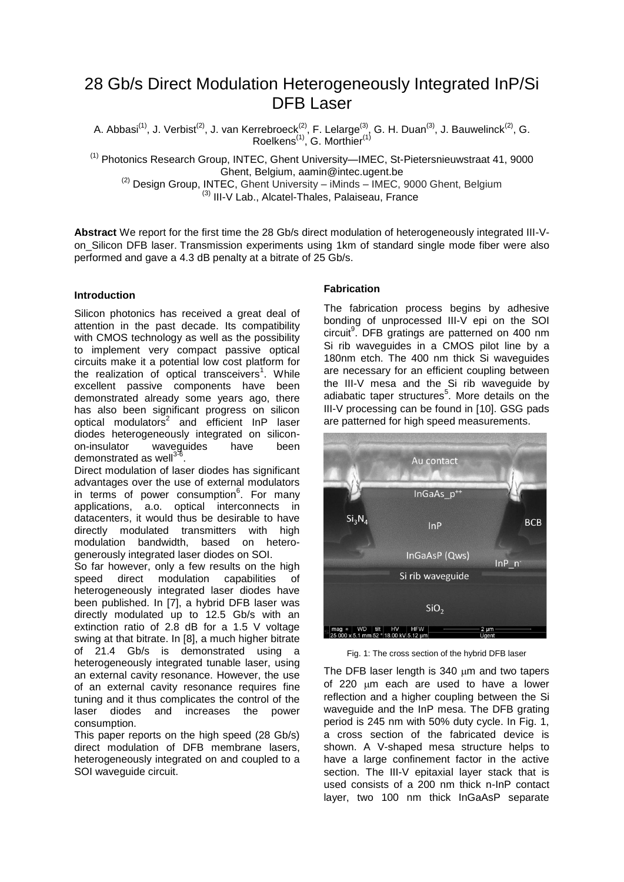# 28 Gb/s Direct Modulation Heterogeneously Integrated InP/Si DFB Laser

A. Abbasi<sup>(1)</sup>, J. Verbist<sup>(2)</sup>, J. van Kerrebroeck<sup>(2)</sup>, F. Lelarge<sup>(3)</sup>, G. H. Duan<sup>(3)</sup>, J. Bauwelinck<sup>(2)</sup>, G. Roelkens<sup>(1)</sup>, G. Morthier<sup>(1)</sup>

<sup>(1)</sup> Photonics Research Group, INTEC, Ghent University—IMEC, St-Pietersnieuwstraat 41, 9000 Ghent, Belgium, aamin@intec.ugent.be

 $^{(2)}$  Design Group, INTEC, Ghent University – iMinds – IMEC, 9000 Ghent, Belgium <sup>(3)</sup> III-V Lab., Alcatel-Thales, Palaiseau, France

**Abstract** We report for the first time the 28 Gb/s direct modulation of heterogeneously integrated III-Von\_Silicon DFB laser. Transmission experiments using 1km of standard single mode fiber were also performed and gave a 4.3 dB penalty at a bitrate of 25 Gb/s.

# **Introduction**

Silicon photonics has received a great deal of attention in the past decade. Its compatibility with CMOS technology as well as the possibility to implement very compact passive optical circuits make it a potential low cost platform for the realization of optical transceivers<sup>1</sup>. While excellent passive components have been demonstrated already some years ago, there has also been significant progress on silicon optical modulators<sup>2</sup> and efficient InP laser diodes heterogeneously integrated on siliconon-insulator waveguides have been demonstrated as well<sup>3-6</sup>.

Direct modulation of laser diodes has significant advantages over the use of external modulators in terms of power consumption<sup>6</sup>. For many applications, a.o. optical interconnects in datacenters, it would thus be desirable to have directly modulated transmitters with high modulation bandwidth, based on heterogenerously integrated laser diodes on SOI.

So far however, only a few results on the high speed direct modulation capabilities of heterogeneously integrated laser diodes have been published. In [7], a hybrid DFB laser was directly modulated up to 12.5 Gb/s with an extinction ratio of 2.8 dB for a 1.5 V voltage swing at that bitrate. In [8], a much higher bitrate of 21.4 Gb/s is demonstrated using a heterogeneously integrated tunable laser, using an external cavity resonance. However, the use of an external cavity resonance requires fine tuning and it thus complicates the control of the laser diodes and increases the power consumption.

This paper reports on the high speed (28 Gb/s) direct modulation of DFB membrane lasers, heterogeneously integrated on and coupled to a SOI waveguide circuit.

# **Fabrication**

The fabrication process begins by adhesive bonding of unprocessed III-V epi on the SOI circuit<sup>9</sup>. DFB gratings are patterned on 400 nm Si rib waveguides in a CMOS pilot line by a 180nm etch. The 400 nm thick Si waveguides are necessary for an efficient coupling between the III-V mesa and the Si rib waveguide by adiabatic taper structures<sup>5</sup>. More details on the III-V processing can be found in [10]. GSG pads are patterned for high speed measurements.



Fig. 1: The cross section of the hybrid DFB laser

The DFB laser length is  $340 \mu m$  and two tapers of 220  $\mu$ m each are used to have a lower reflection and a higher coupling between the Si waveguide and the InP mesa. The DFB grating period is 245 nm with 50% duty cycle. In Fig. 1, a cross section of the fabricated device is shown. A V-shaped mesa structure helps to have a large confinement factor in the active section. The III-V epitaxial layer stack that is used consists of a 200 nm thick n-InP contact layer, two 100 nm thick InGaAsP separate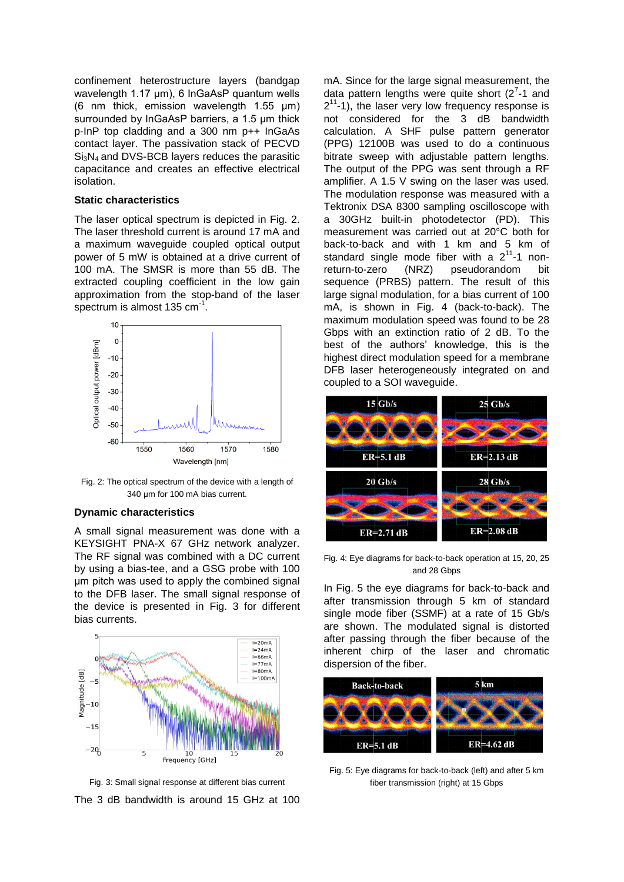confinement heterostructure layers (bandgap wavelength 1.17 μm), 6 InGaAsP quantum wells (6 nm thick, emission wavelength 1.55 μm) surrounded by InGaAsP barriers, a 1.5 μm thick p-InP top cladding and a 300 nm p++ InGaAs contact layer. The passivation stack of PECVD  $Si<sub>3</sub>N<sub>4</sub>$  and DVS-BCB layers reduces the parasitic capacitance and creates an effective electrical isolation.

## **Static characteristics**

The laser optical spectrum is depicted in Fig. 2. The laser threshold current is around 17 mA and a maximum waveguide coupled optical output power of 5 mW is obtained at a drive current of 100 mA. The SMSR is more than 55 dB. The extracted coupling coefficient in the low gain approximation from the stop-band of the laser spectrum is almost 135 cm $^{-1}$ .



Fig. 2: The optical spectrum of the device with a length of 340 μm for 100 mA bias current.

### **Dynamic characteristics**

A small signal measurement was done with a KEYSIGHT PNA-X 67 GHz network analyzer. The RF signal was combined with a DC current by using a bias-tee, and a GSG probe with 100 μm pitch was used to apply the combined signal to the DFB laser. The small signal response of the device is presented in Fig. 3 for different bias currents.



Fig. 3: Small signal response at different bias current The 3 dB bandwidth is around 15 GHz at 100

mA. Since for the large signal measurement, the data pattern lengths were quite short  $(2<sup>7</sup>-1)$  and  $2<sup>11</sup>$ -1), the laser very low frequency response is not considered for the 3 dB bandwidth calculation. A SHF pulse pattern generator (PPG) 12100B was used to do a continuous bitrate sweep with adjustable pattern lengths. The output of the PPG was sent through a RF amplifier. A 1.5 V swing on the laser was used. The modulation response was measured with a Tektronix DSA 8300 sampling oscilloscope with a 30GHz built-in photodetector (PD). This measurement was carried out at 20°C both for back-to-back and with 1 km and 5 km of standard single mode fiber with a  $2^{11}$ -1 nonreturn-to-zero (NRZ) pseudorandom bit sequence (PRBS) pattern. The result of this large signal modulation, for a bias current of 100 mA, is shown in Fig. 4 (back-to-back). The maximum modulation speed was found to be 28 Gbps with an extinction ratio of 2 dB. To the best of the authors' knowledge, this is the highest direct modulation speed for a membrane DFB laser heterogeneously integrated on and coupled to a SOI waveguide.



Fig. 4: Eye diagrams for back-to-back operation at 15, 20, 25 and 28 Gbps

In Fig. 5 the eye diagrams for back-to-back and after transmission through 5 km of standard single mode fiber (SSMF) at a rate of 15 Gb/s are shown. The modulated signal is distorted after passing through the fiber because of the inherent chirp of the laser and chromatic dispersion of the fiber.



Fig. 5: Eye diagrams for back-to-back (left) and after 5 km fiber transmission (right) at 15 Gbps